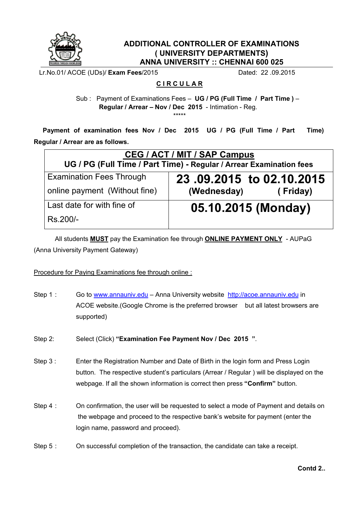

## **ADDITIONAL CONTROLLER OF EXAMINATIONS ( UNIVERSITY DEPARTMENTS) ANNA UNIVERSITY :: CHENNAI 600 025**

Lr.No.01/ ACOE (UDs)/ **Exam Fees**/2015 Dated: 22 .09.2015

## **C I R C U L A R**

Sub : Payment of Examinations Fees – **UG / PG (Full Time / Part Time )** – **Regular / Arrear – Nov / Dec 2015** - Intimation - Reg.

\*\*\*\*\*

 **Payment of examination fees Nov / Dec 2015 UG / PG (Full Time / Part Time) Regular / Arrear are as follows.** 

| CEG / ACT / MIT / SAP Campus<br>UG / PG (Full Time / Part Time) - Regular / Arrear Examination fees |                          |
|-----------------------------------------------------------------------------------------------------|--------------------------|
| <b>Examination Fees Through</b>                                                                     | 23.09.2015 to 02.10.2015 |
| online payment (Without fine)                                                                       | (Wednesday)<br>(Friday)  |
| Last date for with fine of                                                                          | 05.10.2015 (Monday)      |
| Rs.200/-                                                                                            |                          |

All students **MUST** pay the Examination fee through **ONLINE PAYMENT ONLY** - AUPaG (Anna University Payment Gateway)

## Procedure for Paying Examinations fee through online :

- Step 1 : Go to www.annauniv.edu Anna University website http://acoe.annauniv.edu in ACOE website.(Google Chrome is the preferred browser but all latest browsers are supported)
- Step 2: Select (Click) **"Examination Fee Payment Nov / Dec 2015 "**.
- Step 3 : Enter the Registration Number and Date of Birth in the login form and Press Login button. The respective student's particulars (Arrear / Regular ) will be displayed on the webpage. If all the shown information is correct then press **"Confirm"** button.
- Step 4 : On confirmation, the user will be requested to select a mode of Payment and details on the webpage and proceed to the respective bank's website for payment (enter the login name, password and proceed).
- Step 5 : On successful completion of the transaction, the candidate can take a receipt.